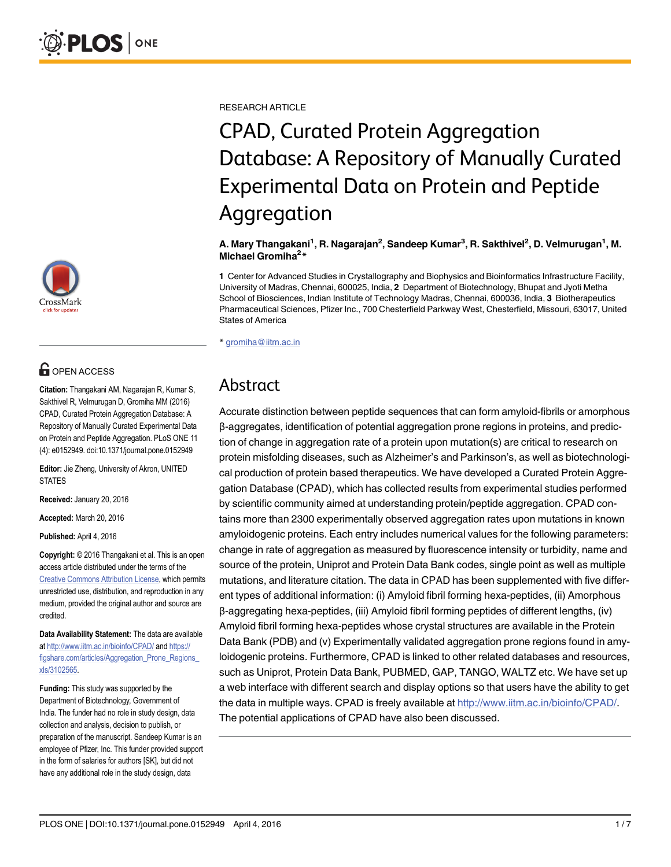

# **G** OPEN ACCESS

Citation: Thangakani AM, Nagarajan R, Kumar S, Sakthivel R, Velmurugan D, Gromiha MM (2016) CPAD, Curated Protein Aggregation Database: A Repository of Manually Curated Experimental Data on Protein and Peptide Aggregation. PLoS ONE 11 (4): e0152949. doi:10.1371/journal.pone.0152949

Editor: Jie Zheng, University of Akron, UNITED **STATES** 

Received: January 20, 2016

Accepted: March 20, 2016

Published: April 4, 2016

Copyright: © 2016 Thangakani et al. This is an open access article distributed under the terms of the [Creative Commons Attribution License,](http://creativecommons.org/licenses/by/4.0/) which permits unrestricted use, distribution, and reproduction in any medium, provided the original author and source are credited.

Data Availability Statement: The data are available at <http://www.iitm.ac.in/bioinfo/CPAD/> and [https://](https://figshare.com/articles/Aggregation_Prone_Regions_xls/3102565) [figshare.com/articles/Aggregation\\_Prone\\_Regions\\_](https://figshare.com/articles/Aggregation_Prone_Regions_xls/3102565) [xls/3102565](https://figshare.com/articles/Aggregation_Prone_Regions_xls/3102565).

Funding: This study was supported by the Department of Biotechnology, Government of India. The funder had no role in study design, data collection and analysis, decision to publish, or preparation of the manuscript. Sandeep Kumar is an employee of Pfizer, Inc. This funder provided support in the form of salaries for authors [SK], but did not have any additional role in the study design, data

RESEARCH ARTICLE

# CPAD, Curated Protein Aggregation Database: A Repository of Manually Curated Experimental Data on Protein and Peptide Aggregation

#### A. Mary Thangakani<sup>1</sup>, R. Nagarajan<sup>2</sup>, Sandeep Kumar<sup>3</sup>, R. Sakthivel<sup>2</sup>, D. Velmurugan<sup>1</sup>, M. Michael Gromiha<sup>2\*</sup>

1 Center for Advanced Studies in Crystallography and Biophysics and Bioinformatics Infrastructure Facility, University of Madras, Chennai, 600025, India, 2 Department of Biotechnology, Bhupat and Jyoti Metha School of Biosciences, Indian Institute of Technology Madras, Chennai, 600036, India, 3 Biotherapeutics Pharmaceutical Sciences, Pfizer Inc., 700 Chesterfield Parkway West, Chesterfield, Missouri, 63017, United States of America

\* gromiha@iitm.ac.in

# Abstract

Accurate distinction between peptide sequences that can form amyloid-fibrils or amorphous β-aggregates, identification of potential aggregation prone regions in proteins, and prediction of change in aggregation rate of a protein upon mutation(s) are critical to research on protein misfolding diseases, such as Alzheimer's and Parkinson's, as well as biotechnological production of protein based therapeutics. We have developed a Curated Protein Aggregation Database (CPAD), which has collected results from experimental studies performed by scientific community aimed at understanding protein/peptide aggregation. CPAD contains more than 2300 experimentally observed aggregation rates upon mutations in known amyloidogenic proteins. Each entry includes numerical values for the following parameters: change in rate of aggregation as measured by fluorescence intensity or turbidity, name and source of the protein, Uniprot and Protein Data Bank codes, single point as well as multiple mutations, and literature citation. The data in CPAD has been supplemented with five different types of additional information: (i) Amyloid fibril forming hexa-peptides, (ii) Amorphous β-aggregating hexa-peptides, (iii) Amyloid fibril forming peptides of different lengths, (iv) Amyloid fibril forming hexa-peptides whose crystal structures are available in the Protein Data Bank (PDB) and (v) Experimentally validated aggregation prone regions found in amyloidogenic proteins. Furthermore, CPAD is linked to other related databases and resources, such as Uniprot, Protein Data Bank, PUBMED, GAP, TANGO, WALTZ etc. We have set up a web interface with different search and display options so that users have the ability to get the data in multiple ways. CPAD is freely available at [http://www.iitm.ac.in/bioinfo/CPAD/.](http://www.iitm.ac.in/bioinfo/CPAD/) The potential applications of CPAD have also been discussed.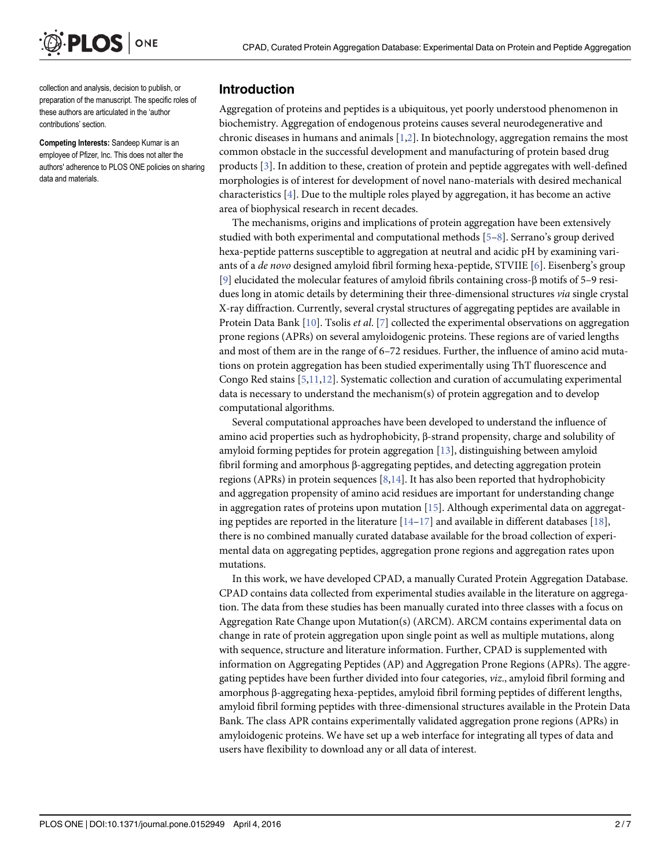<span id="page-1-0"></span>

collection and analysis, decision to publish, or preparation of the manuscript. The specific roles of these authors are articulated in the 'author contributions' section.

Competing Interests: Sandeep Kumar is an employee of Pfizer, Inc. This does not alter the authors' adherence to PLOS ONE policies on sharing data and materials.

#### Introduction

Aggregation of proteins and peptides is a ubiquitous, yet poorly understood phenomenon in biochemistry. Aggregation of endogenous proteins causes several neurodegenerative and chronic diseases in humans and animals  $[1,2]$  $[1,2]$  $[1,2]$  $[1,2]$  $[1,2]$ . In biotechnology, aggregation remains the most common obstacle in the successful development and manufacturing of protein based drug products [[3\]](#page-5-0). In addition to these, creation of protein and peptide aggregates with well-defined morphologies is of interest for development of novel nano-materials with desired mechanical characteristics [\[4](#page-5-0)]. Due to the multiple roles played by aggregation, it has become an active area of biophysical research in recent decades.

The mechanisms, origins and implications of protein aggregation have been extensively studied with both experimental and computational methods [[5](#page-6-0)–[8](#page-6-0)]. Serrano's group derived hexa-peptide patterns susceptible to aggregation at neutral and acidic pH by examining variants of a de novo designed amyloid fibril forming hexa-peptide, STVIIE [[6](#page-6-0)]. Eisenberg's group [\[9](#page-6-0)] elucidated the molecular features of amyloid fibrils containing cross-β motifs of 5–9 residues long in atomic details by determining their three-dimensional structures via single crystal X-ray diffraction. Currently, several crystal structures of aggregating peptides are available in Protein Data Bank [\[10\]](#page-6-0). Tsolis et al. [[7](#page-6-0)] collected the experimental observations on aggregation prone regions (APRs) on several amyloidogenic proteins. These regions are of varied lengths and most of them are in the range of 6–72 residues. Further, the influence of amino acid mutations on protein aggregation has been studied experimentally using ThT fluorescence and Congo Red stains [[5,11](#page-6-0),[12](#page-6-0)]. Systematic collection and curation of accumulating experimental data is necessary to understand the mechanism(s) of protein aggregation and to develop computational algorithms.

Several computational approaches have been developed to understand the influence of amino acid properties such as hydrophobicity, β-strand propensity, charge and solubility of amyloid forming peptides for protein aggregation  $[13]$  $[13]$  $[13]$ , distinguishing between amyloid fibril forming and amorphous β-aggregating peptides, and detecting aggregation protein regions (APRs) in protein sequences  $[8,14]$  $[8,14]$  $[8,14]$  $[8,14]$  $[8,14]$ . It has also been reported that hydrophobicity and aggregation propensity of amino acid residues are important for understanding change in aggregation rates of proteins upon mutation  $[15]$  $[15]$ . Although experimental data on aggregating peptides are reported in the literature  $[14-17]$  $[14-17]$  $[14-17]$  $[14-17]$  $[14-17]$  and available in different databases [[18](#page-6-0)], there is no combined manually curated database available for the broad collection of experimental data on aggregating peptides, aggregation prone regions and aggregation rates upon mutations.

In this work, we have developed CPAD, a manually Curated Protein Aggregation Database. CPAD contains data collected from experimental studies available in the literature on aggregation. The data from these studies has been manually curated into three classes with a focus on Aggregation Rate Change upon Mutation(s) (ARCM). ARCM contains experimental data on change in rate of protein aggregation upon single point as well as multiple mutations, along with sequence, structure and literature information. Further, CPAD is supplemented with information on Aggregating Peptides (AP) and Aggregation Prone Regions (APRs). The aggregating peptides have been further divided into four categories, viz., amyloid fibril forming and amorphous β-aggregating hexa-peptides, amyloid fibril forming peptides of different lengths, amyloid fibril forming peptides with three-dimensional structures available in the Protein Data Bank. The class APR contains experimentally validated aggregation prone regions (APRs) in amyloidogenic proteins. We have set up a web interface for integrating all types of data and users have flexibility to download any or all data of interest.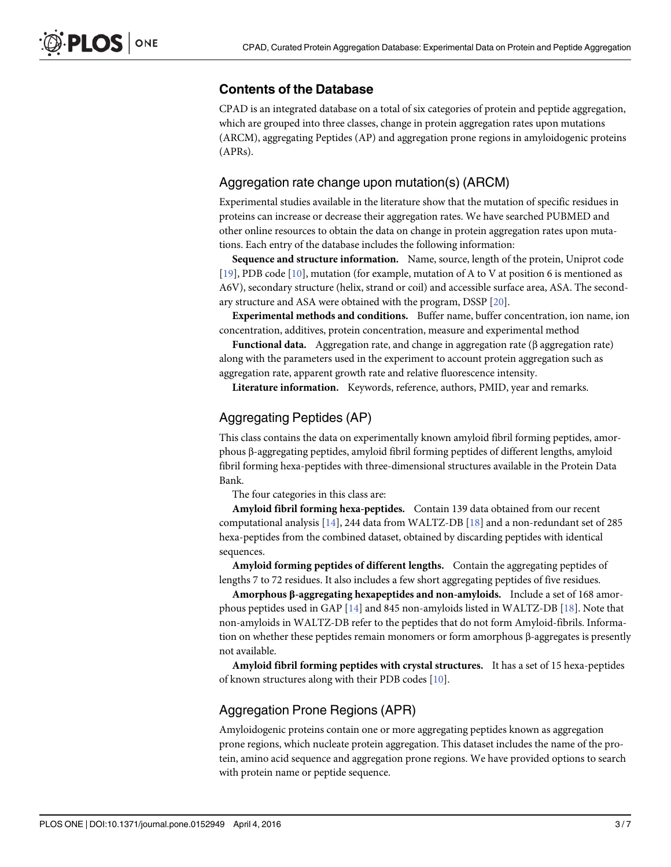#### <span id="page-2-0"></span>Contents of the Database

CPAD is an integrated database on a total of six categories of protein and peptide aggregation, which are grouped into three classes, change in protein aggregation rates upon mutations (ARCM), aggregating Peptides (AP) and aggregation prone regions in amyloidogenic proteins (APRs).

## Aggregation rate change upon mutation(s) (ARCM)

Experimental studies available in the literature show that the mutation of specific residues in proteins can increase or decrease their aggregation rates. We have searched PUBMED and other online resources to obtain the data on change in protein aggregation rates upon mutations. Each entry of the database includes the following information:

Sequence and structure information. Name, source, length of the protein, Uniprot code [\[19](#page-6-0)], PDB code [\[10\]](#page-6-0), mutation (for example, mutation of A to V at position 6 is mentioned as A6V), secondary structure (helix, strand or coil) and accessible surface area, ASA. The secondary structure and ASA were obtained with the program, DSSP [\[20\]](#page-6-0).

Experimental methods and conditions. Buffer name, buffer concentration, ion name, ion concentration, additives, protein concentration, measure and experimental method

Functional data. Aggregation rate, and change in aggregation rate (β aggregation rate) along with the parameters used in the experiment to account protein aggregation such as aggregation rate, apparent growth rate and relative fluorescence intensity.

Literature information. Keywords, reference, authors, PMID, year and remarks.

## Aggregating Peptides (AP)

This class contains the data on experimentally known amyloid fibril forming peptides, amorphous β-aggregating peptides, amyloid fibril forming peptides of different lengths, amyloid fibril forming hexa-peptides with three-dimensional structures available in the Protein Data Bank.

The four categories in this class are:

Amyloid fibril forming hexa-peptides. Contain 139 data obtained from our recent computational analysis [\[14\]](#page-6-0), 244 data from WALTZ-DB [[18](#page-6-0)] and a non-redundant set of 285 hexa-peptides from the combined dataset, obtained by discarding peptides with identical sequences.

Amyloid forming peptides of different lengths. Contain the aggregating peptides of lengths 7 to 72 residues. It also includes a few short aggregating peptides of five residues.

Amorphous  $\beta$ -aggregating hexapeptides and non-amyloids. Include a set of 168 amorphous peptides used in GAP  $[14]$  $[14]$  and 845 non-amyloids listed in WALTZ-DB  $[18]$  $[18]$  $[18]$ . Note that non-amyloids in WALTZ-DB refer to the peptides that do not form Amyloid-fibrils. Information on whether these peptides remain monomers or form amorphous β-aggregates is presently not available.

Amyloid fibril forming peptides with crystal structures. It has a set of 15 hexa-peptides of known structures along with their PDB codes [\[10\]](#page-6-0).

## Aggregation Prone Regions (APR)

Amyloidogenic proteins contain one or more aggregating peptides known as aggregation prone regions, which nucleate protein aggregation. This dataset includes the name of the protein, amino acid sequence and aggregation prone regions. We have provided options to search with protein name or peptide sequence.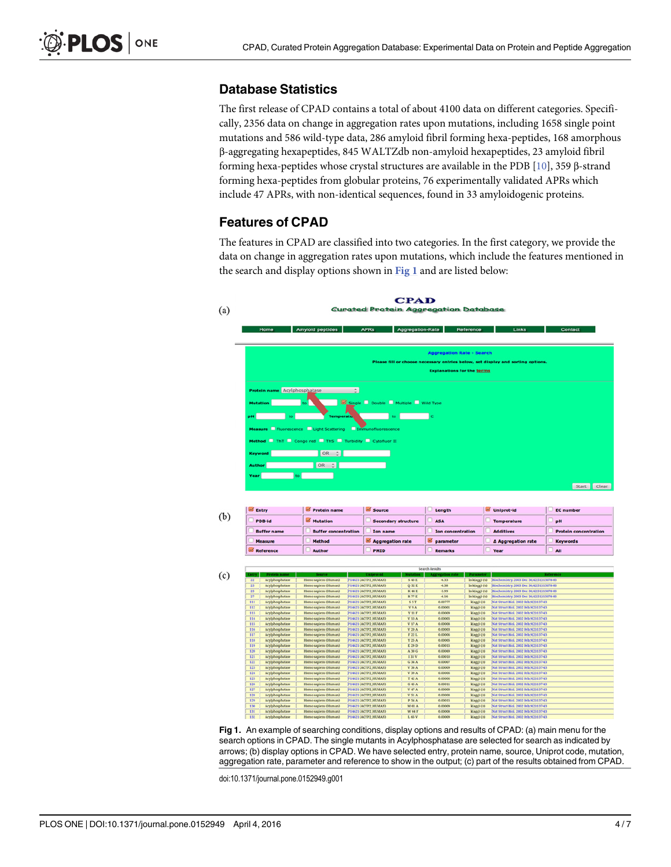#### <span id="page-3-0"></span>Database Statistics

The first release of CPAD contains a total of about 4100 data on different categories. Specifically, 2356 data on change in aggregation rates upon mutations, including 1658 single point mutations and 586 wild-type data, 286 amyloid fibril forming hexa-peptides, 168 amorphous β-aggregating hexapeptides, 845 WALTZdb non-amyloid hexapeptides, 23 amyloid fibril forming hexa-peptides whose crystal structures are available in the PDB [\[10](#page-6-0)], 359  $\beta$ -strand forming hexa-peptides from globular proteins, 76 experimentally validated APRs which include 47 APRs, with non-identical sequences, found in 33 amyloidogenic proteins.

#### Features of CPAD

The features in CPAD are classified into two categories. In the first category, we provide the data on change in aggregation rates upon mutations, which include the features mentioned in the search and display options shown in  $Fig 1$  and are listed below:



Fig 1. An example of searching conditions, display options and results of CPAD: (a) main menu for the search options in CPAD. The single mutants in Acylphosphatase are selected for search as indicated by arrows; (b) display options in CPAD. We have selected entry, protein name, source, Uniprot code, mutation, aggregation rate, parameter and reference to show in the output; (c) part of the results obtained from CPAD.

doi:10.1371/journal.pone.0152949.g001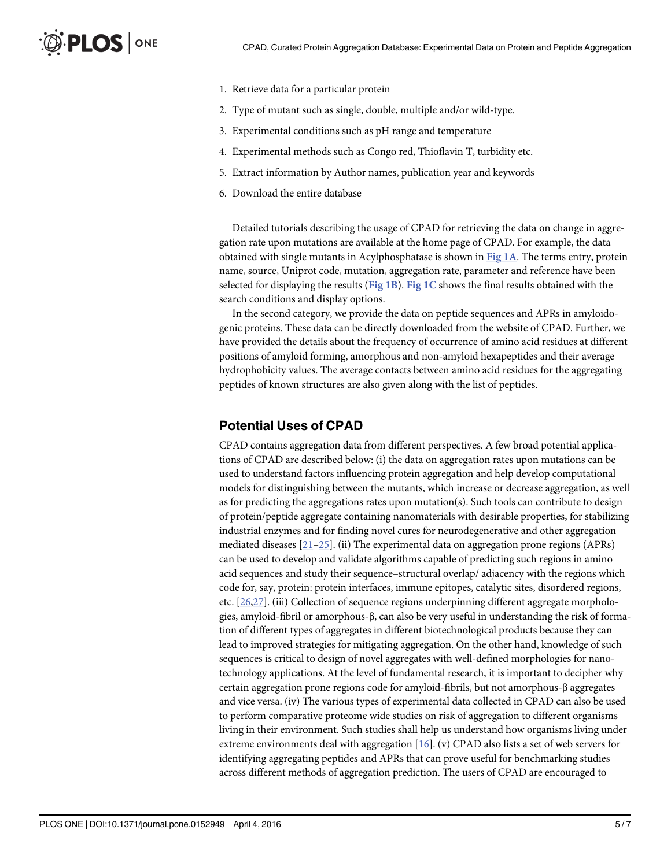- <span id="page-4-0"></span>1. Retrieve data for a particular protein
- 2. Type of mutant such as single, double, multiple and/or wild-type.
- 3. Experimental conditions such as pH range and temperature
- 4. Experimental methods such as Congo red, Thioflavin T, turbidity etc.
- 5. Extract information by Author names, publication year and keywords
- 6. Download the entire database

Detailed tutorials describing the usage of CPAD for retrieving the data on change in aggregation rate upon mutations are available at the home page of CPAD. For example, the data obtained with single mutants in Acylphosphatase is shown in [Fig 1A](#page-3-0). The terms entry, protein name, source, Uniprot code, mutation, aggregation rate, parameter and reference have been selected for displaying the results ([Fig 1B](#page-3-0)). [Fig 1C](#page-3-0) shows the final results obtained with the search conditions and display options.

In the second category, we provide the data on peptide sequences and APRs in amyloidogenic proteins. These data can be directly downloaded from the website of CPAD. Further, we have provided the details about the frequency of occurrence of amino acid residues at different positions of amyloid forming, amorphous and non-amyloid hexapeptides and their average hydrophobicity values. The average contacts between amino acid residues for the aggregating peptides of known structures are also given along with the list of peptides.

#### Potential Uses of CPAD

CPAD contains aggregation data from different perspectives. A few broad potential applications of CPAD are described below: (i) the data on aggregation rates upon mutations can be used to understand factors influencing protein aggregation and help develop computational models for distinguishing between the mutants, which increase or decrease aggregation, as well as for predicting the aggregations rates upon mutation(s). Such tools can contribute to design of protein/peptide aggregate containing nanomaterials with desirable properties, for stabilizing industrial enzymes and for finding novel cures for neurodegenerative and other aggregation mediated diseases  $[21-25]$  $[21-25]$  $[21-25]$ . (ii) The experimental data on aggregation prone regions (APRs) can be used to develop and validate algorithms capable of predicting such regions in amino acid sequences and study their sequence–structural overlap/ adjacency with the regions which code for, say, protein: protein interfaces, immune epitopes, catalytic sites, disordered regions, etc. [\[26,27\]](#page-6-0). (iii) Collection of sequence regions underpinning different aggregate morphologies, amyloid-fibril or amorphous-β, can also be very useful in understanding the risk of formation of different types of aggregates in different biotechnological products because they can lead to improved strategies for mitigating aggregation. On the other hand, knowledge of such sequences is critical to design of novel aggregates with well-defined morphologies for nanotechnology applications. At the level of fundamental research, it is important to decipher why certain aggregation prone regions code for amyloid-fibrils, but not amorphous-β aggregates and vice versa. (iv) The various types of experimental data collected in CPAD can also be used to perform comparative proteome wide studies on risk of aggregation to different organisms living in their environment. Such studies shall help us understand how organisms living under extreme environments deal with aggregation [\[16\]](#page-6-0). (v) CPAD also lists a set of web servers for identifying aggregating peptides and APRs that can prove useful for benchmarking studies across different methods of aggregation prediction. The users of CPAD are encouraged to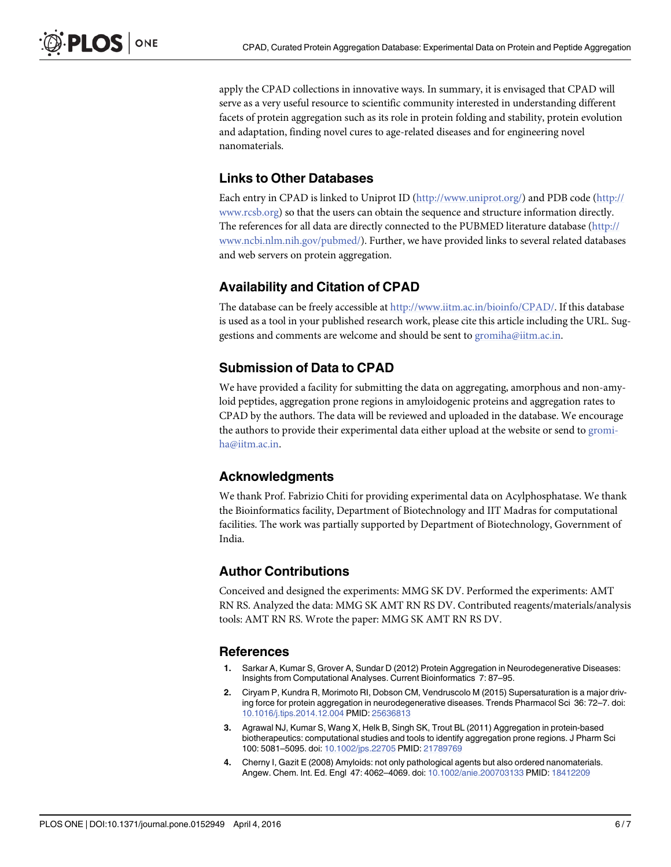<span id="page-5-0"></span>apply the CPAD collections in innovative ways. In summary, it is envisaged that CPAD will serve as a very useful resource to scientific community interested in understanding different facets of protein aggregation such as its role in protein folding and stability, protein evolution and adaptation, finding novel cures to age-related diseases and for engineering novel nanomaterials.

#### Links to Other Databases

Each entry in CPAD is linked to Uniprot ID ([http://www.uniprot.org/\)](http://www.uniprot.org/) and PDB code ([http://](http://www.rcsb.org/) [www.rcsb.org](http://www.rcsb.org/)) so that the users can obtain the sequence and structure information directly. The references for all data are directly connected to the PUBMED literature database [\(http://](http://www.ncbi.nlm.nih.gov/pubmed/) [www.ncbi.nlm.nih.gov/pubmed/](http://www.ncbi.nlm.nih.gov/pubmed/)). Further, we have provided links to several related databases and web servers on protein aggregation.

#### Availability and Citation of CPAD

The database can be freely accessible at [http://www.iitm.ac.in/bioinfo/CPAD/.](http://www.iitm.ac.in/bioinfo/CPAD/) If this database is used as a tool in your published research work, please cite this article including the URL. Suggestions and comments are welcome and should be sent to gromiha@iitm.ac.in.

#### Submission of Data to CPAD

We have provided a facility for submitting the data on aggregating, amorphous and non-amyloid peptides, aggregation prone regions in amyloidogenic proteins and aggregation rates to CPAD by the authors. The data will be reviewed and uploaded in the database. We encourage the authors to provide their experimental data either upload at the website or send to gromiha@iitm.ac.in.

#### Acknowledgments

We thank Prof. Fabrizio Chiti for providing experimental data on Acylphosphatase. We thank the Bioinformatics facility, Department of Biotechnology and IIT Madras for computational facilities. The work was partially supported by Department of Biotechnology, Government of India.

#### Author Contributions

Conceived and designed the experiments: MMG SK DV. Performed the experiments: AMT RN RS. Analyzed the data: MMG SK AMT RN RS DV. Contributed reagents/materials/analysis tools: AMT RN RS. Wrote the paper: MMG SK AMT RN RS DV.

#### References

- [1.](#page-1-0) Sarkar A, Kumar S, Grover A, Sundar D (2012) Protein Aggregation in Neurodegenerative Diseases: Insights from Computational Analyses. Current Bioinformatics 7: 87–95.
- [2.](#page-1-0) Ciryam P, Kundra R, Morimoto RI, Dobson CM, Vendruscolo M (2015) Supersaturation is a major driving force for protein aggregation in neurodegenerative diseases. Trends Pharmacol Sci 36: 72–7. doi: [10.1016/j.tips.2014.12.004](http://dx.doi.org/10.1016/j.tips.2014.12.004) PMID: [25636813](http://www.ncbi.nlm.nih.gov/pubmed/25636813)
- [3.](#page-1-0) Agrawal NJ, Kumar S, Wang X, Helk B, Singh SK, Trout BL (2011) Aggregation in protein-based biotherapeutics: computational studies and tools to identify aggregation prone regions. J Pharm Sci 100: 5081–5095. doi: [10.1002/jps.22705](http://dx.doi.org/10.1002/jps.22705) PMID: [21789769](http://www.ncbi.nlm.nih.gov/pubmed/21789769)
- [4.](#page-1-0) Cherny I, Gazit E (2008) Amyloids: not only pathological agents but also ordered nanomaterials. Angew. Chem. Int. Ed. Engl 47: 4062–4069. doi: [10.1002/anie.200703133](http://dx.doi.org/10.1002/anie.200703133) PMID: [18412209](http://www.ncbi.nlm.nih.gov/pubmed/18412209)